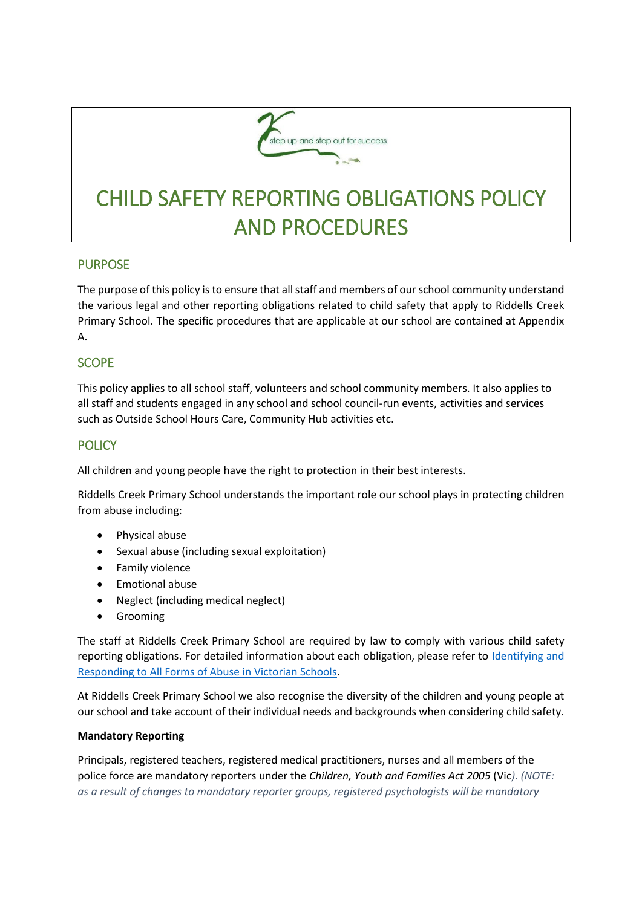

# CHILD SAFETY REPORTING OBLIGATIONS POLICY AND PROCEDURES

# **PURPOSE**

The purpose of this policy is to ensure that all staff and members of our school community understand the various legal and other reporting obligations related to child safety that apply to Riddells Creek Primary School. The specific procedures that are applicable at our school are contained at Appendix A.

## **SCOPE**

This policy applies to all school staff, volunteers and school community members. It also applies to all staff and students engaged in any school and school council-run events, activities and services such as Outside School Hours Care, Community Hub activities etc.

# **POLICY**

All children and young people have the right to protection in their best interests.

Riddells Creek Primary School understands the important role our school plays in protecting children from abuse including:

- Physical abuse
- Sexual abuse (including sexual exploitation)
- Family violence
- **•** Emotional abuse
- Neglect (including medical neglect)
- **•** Grooming

The staff at Riddells Creek Primary School are required by law to comply with various child safety reporting obligations. For detailed information about each obligation, please refer to Identifying and [Responding to All Forms of Abuse in Victorian Schools.](https://www.education.vic.gov.au/Documents/about/programs/health/protect/ChildSafeStandard5_SchoolsGuide.pdf)

At Riddells Creek Primary School we also recognise the diversity of the children and young people at our school and take account of their individual needs and backgrounds when considering child safety.

## **Mandatory Reporting**

Principals, registered teachers, registered medical practitioners, nurses and all members of the police force are mandatory reporters under the *Children, Youth and Families Act 2005* (Vic*). (NOTE: as a result of changes to mandatory reporter groups, registered psychologists will be mandatory*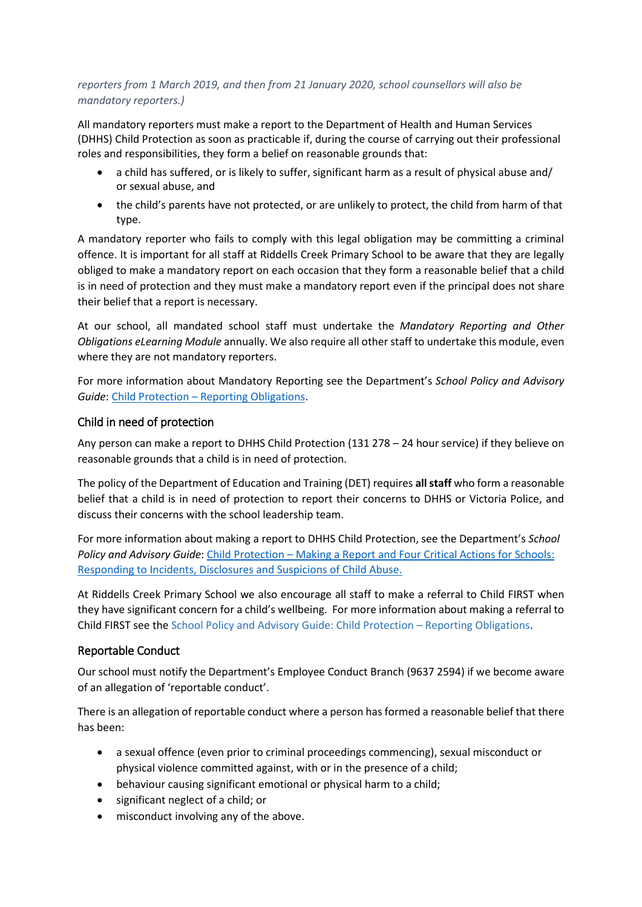## *reporters from 1 March 2019, and then from 21 January 2020, school counsellors will also be mandatory reporters.)*

All mandatory reporters must make a report to the Department of Health and Human Services (DHHS) Child Protection as soon as practicable if, during the course of carrying out their professional roles and responsibilities, they form a belief on reasonable grounds that:

- a child has suffered, or is likely to suffer, significant harm as a result of physical abuse and/ or sexual abuse, and
- the child's parents have not protected, or are unlikely to protect, the child from harm of that type.

A mandatory reporter who fails to comply with this legal obligation may be committing a criminal offence. It is important for all staff at Riddells Creek Primary School to be aware that they are legally obliged to make a mandatory report on each occasion that they form a reasonable belief that a child is in need of protection and they must make a mandatory report even if the principal does not share their belief that a report is necessary.

At our school, all mandated school staff must undertake the *Mandatory Reporting and Other Obligations eLearning Module* annually. We also require all other staff to undertake this module, even where they are not mandatory reporters.

For more information about Mandatory Reporting see the Department's *School Policy and Advisory Guide*: Child Protection – [Reporting Obligations.](http://www.education.vic.gov.au/school/principals/spag/safety/Pages/childprotectobligation.aspx)

## Child in need of protection

Any person can make a report to DHHS Child Protection (131 278 – 24 hour service) if they believe on reasonable grounds that a child is in need of protection.

The policy of the Department of Education and Training (DET) requires **all staff** who form a reasonable belief that a child is in need of protection to report their concerns to DHHS or Victoria Police, and discuss their concerns with the school leadership team.

For more information about making a report to DHHS Child Protection, see the Department's *School Policy and Advisory Guide*: [Child Protection](http://www.education.vic.gov.au/school/principals/spag/safety/Pages/childprotectreporting.aspx) – Making a Report and [Four Critical Actions for Schools:](https://www.education.vic.gov.au/Documents/about/programs/health/protect/FourCriticalActions_ChildAbuse.pdf)  [Responding to Incidents, Disclosures and Suspicions of Child Abuse.](https://www.education.vic.gov.au/Documents/about/programs/health/protect/FourCriticalActions_ChildAbuse.pdf)

At Riddells Creek Primary School we also encourage all staff to make a referral to Child FIRST when they have significant concern for a child's wellbeing. For more information about making a referral to Child FIRST see the School Policy and Advisory Guide: Child Protection – [Reporting Obligations.](https://www.education.vic.gov.au/school/principals/spag/safety/Pages/childprotectobligation.aspx)

## Reportable Conduct

Our school must notify the Department's Employee Conduct Branch (9637 2594) if we become aware of an allegation of 'reportable conduct'.

There is an allegation of reportable conduct where a person has formed a reasonable belief that there has been:

- a sexual offence (even prior to criminal proceedings commencing), sexual misconduct or physical violence committed against, with or in the presence of a child;
- behaviour causing significant emotional or physical harm to a child;
- significant neglect of a child; or
- misconduct involving any of the above.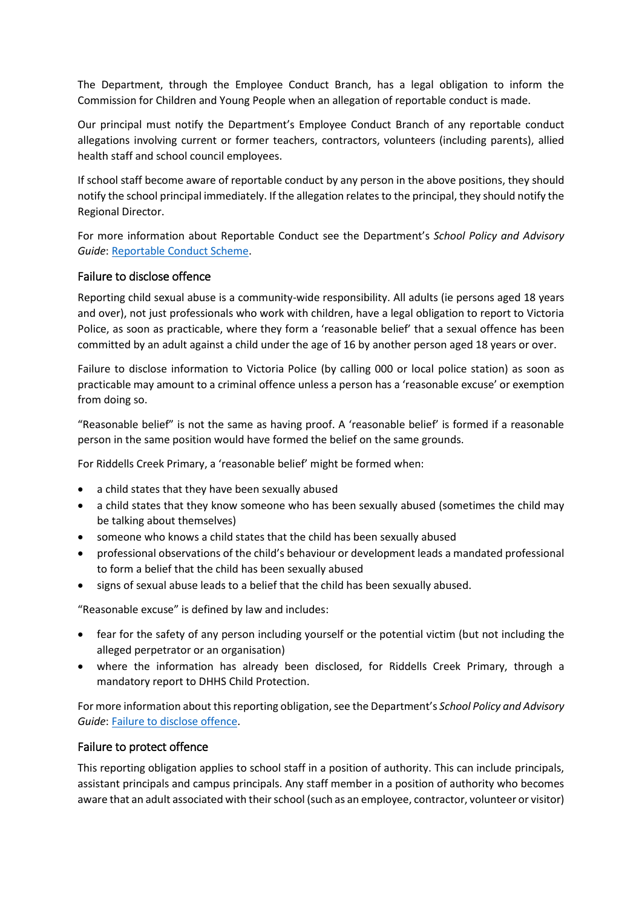The Department, through the Employee Conduct Branch, has a legal obligation to inform the Commission for Children and Young People when an allegation of reportable conduct is made.

Our principal must notify the Department's Employee Conduct Branch of any reportable conduct allegations involving current or former teachers, contractors, volunteers (including parents), allied health staff and school council employees.

If school staff become aware of reportable conduct by any person in the above positions, they should notify the school principal immediately. If the allegation relates to the principal, they should notify the Regional Director.

For more information about Reportable Conduct see the Department's *School Policy and Advisory Guide*[: Reportable Conduct Scheme.](http://www.education.vic.gov.au/school/principals/spag/safety/Pages/reportableconductscheme.aspx)

## Failure to disclose offence

Reporting child sexual abuse is a community-wide responsibility. All adults (ie persons aged 18 years and over), not just professionals who work with children, have a legal obligation to report to Victoria Police, as soon as practicable, where they form a 'reasonable belief' that a sexual offence has been committed by an adult against a child under the age of 16 by another person aged 18 years or over.

Failure to disclose information to Victoria Police (by calling 000 or local police station) as soon as practicable may amount to a criminal offence unless a person has a 'reasonable excuse' or exemption from doing so.

"Reasonable belief" is not the same as having proof. A 'reasonable belief' is formed if a reasonable person in the same position would have formed the belief on the same grounds.

For Riddells Creek Primary, a 'reasonable belief' might be formed when:

- a child states that they have been sexually abused
- a child states that they know someone who has been sexually abused (sometimes the child may be talking about themselves)
- someone who knows a child states that the child has been sexually abused
- professional observations of the child's behaviour or development leads a mandated professional to form a belief that the child has been sexually abused
- signs of sexual abuse leads to a belief that the child has been sexually abused.

"Reasonable excuse" is defined by law and includes:

- fear for the safety of any person including yourself or the potential victim (but not including the alleged perpetrator or an organisation)
- where the information has already been disclosed, for Riddells Creek Primary, through a mandatory report to DHHS Child Protection.

For more information about this reporting obligation, see the Department's *School Policy and Advisory Guide*[: Failure to disclose offence.](http://www.education.vic.gov.au/school/principals/spag/safety/Pages/childprotectobligation.aspx)

## Failure to protect offence

This reporting obligation applies to school staff in a position of authority. This can include principals, assistant principals and campus principals. Any staff member in a position of authority who becomes aware that an adult associated with their school (such as an employee, contractor, volunteer or visitor)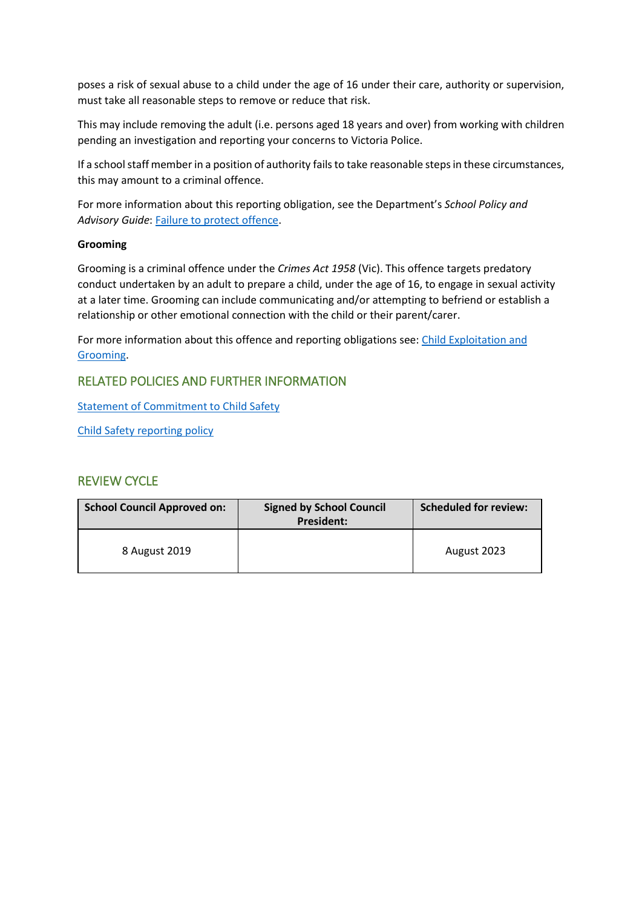poses a risk of sexual abuse to a child under the age of 16 under their care, authority or supervision, must take all reasonable steps to remove or reduce that risk.

This may include removing the adult (i.e. persons aged 18 years and over) from working with children pending an investigation and reporting your concerns to Victoria Police.

If a school staff member in a position of authority fails to take reasonable steps in these circumstances, this may amount to a criminal offence.

For more information about this reporting obligation, see the Department's *School Policy and Advisory Guide*: [Failure to protect offence.](http://www.education.vic.gov.au/school/principals/spag/safety/Pages/childprotectobligation.aspx)

## **Grooming**

Grooming is a criminal offence under the *Crimes Act 1958* (Vic). This offence targets predatory conduct undertaken by an adult to prepare a child, under the age of 16, to engage in sexual activity at a later time. Grooming can include communicating and/or attempting to befriend or establish a relationship or other emotional connection with the child or their parent/carer.

For more information about this offence and reporting obligations see: [Child Exploitation and](https://www.education.vic.gov.au/school/teachers/health/childprotection/Pages/expolitationgrooming.aspx)  [Grooming.](https://www.education.vic.gov.au/school/teachers/health/childprotection/Pages/expolitationgrooming.aspx)

## RELATED POLICIES AND FURTHER INFORMATION

[Statement of Commitment to Child Safety](https://roxburghparkps.sharepoint.com/:w:/s/WholeSchoolDocuments/EXMW2OrtXFRBrqqOxPk2xYcBAwes-oh16QE5EEGU1Un-AA?e=lGy7X3)

Child [Safety reporting policy](https://roxburghparkps.sharepoint.com/:w:/s/WholeSchoolDocuments/EfSYMpTFBD9Dnh6vwEXZ_ngBxVrnJorYqoUFpGRTH2sf-w?e=odURJq)

## **REVIEW CYCLE**

| <b>School Council Approved on:</b> | <b>Signed by School Council</b><br><b>President:</b> | <b>Scheduled for review:</b> |
|------------------------------------|------------------------------------------------------|------------------------------|
| 8 August 2019                      |                                                      | August 2023                  |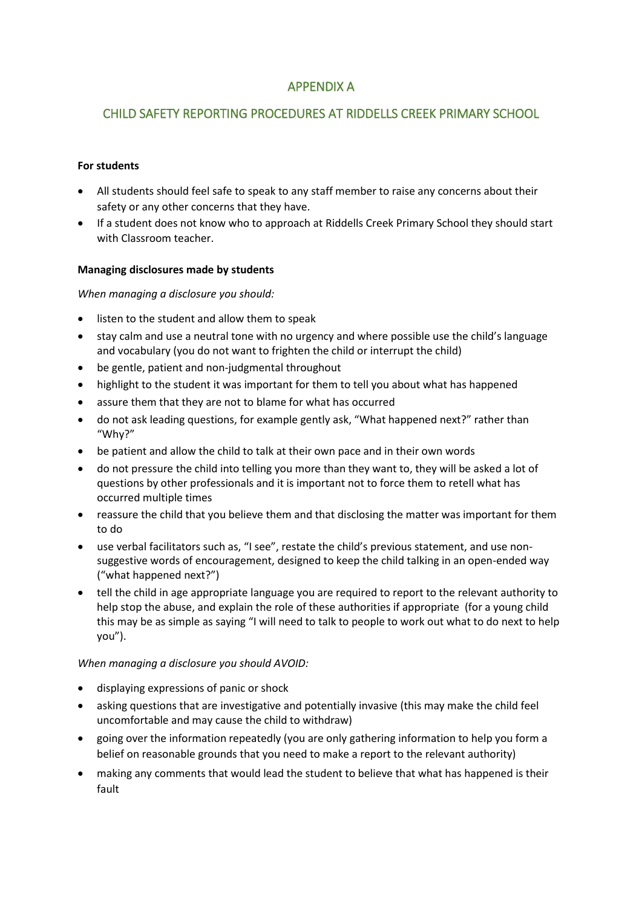# APPENDIX A

# CHILD SAFETY REPORTING PROCEDURES AT RIDDELLS CREEK PRIMARY SCHOOL

## **For students**

- All students should feel safe to speak to any staff member to raise any concerns about their safety or any other concerns that they have.
- If a student does not know who to approach at Riddells Creek Primary School they should start with Classroom teacher.

## **Managing disclosures made by students**

## *When managing a disclosure you should:*

- listen to the student and allow them to speak
- stay calm and use a neutral tone with no urgency and where possible use the child's language and vocabulary (you do not want to frighten the child or interrupt the child)
- be gentle, patient and non-judgmental throughout
- highlight to the student it was important for them to tell you about what has happened
- assure them that they are not to blame for what has occurred
- do not ask leading questions, for example gently ask, "What happened next?" rather than "Why?"
- be patient and allow the child to talk at their own pace and in their own words
- do not pressure the child into telling you more than they want to, they will be asked a lot of questions by other professionals and it is important not to force them to retell what has occurred multiple times
- reassure the child that you believe them and that disclosing the matter was important for them to do
- use verbal facilitators such as, "I see", restate the child's previous statement, and use nonsuggestive words of encouragement, designed to keep the child talking in an open-ended way ("what happened next?")
- tell the child in age appropriate language you are required to report to the relevant authority to help stop the abuse, and explain the role of these authorities if appropriate (for a young child this may be as simple as saying "I will need to talk to people to work out what to do next to help you").

## *When managing a disclosure you should AVOID:*

- displaying expressions of panic or shock
- asking questions that are investigative and potentially invasive (this may make the child feel uncomfortable and may cause the child to withdraw)
- going over the information repeatedly (you are only gathering information to help you form a belief on reasonable grounds that you need to make a report to the relevant authority)
- making any comments that would lead the student to believe that what has happened is their fault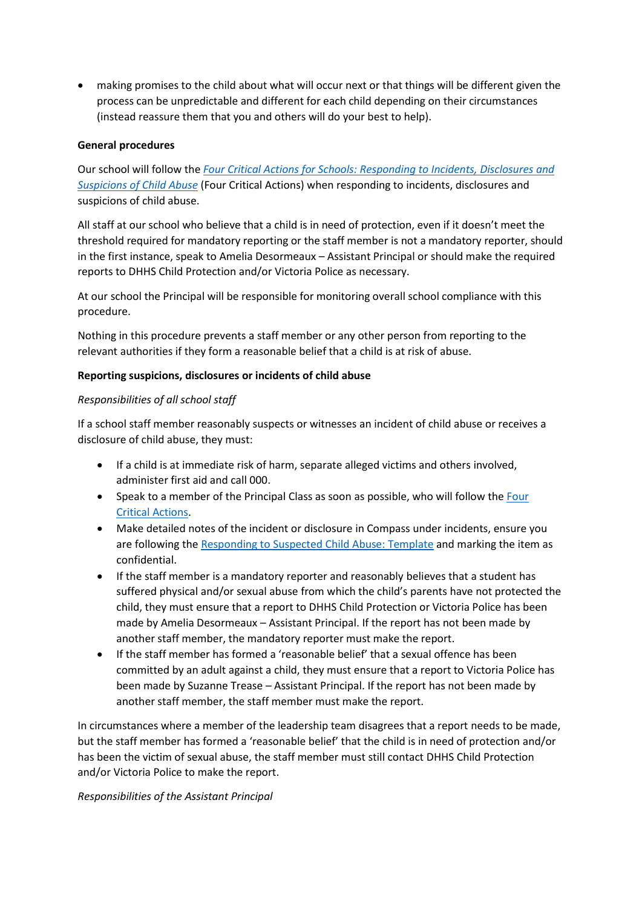making promises to the child about what will occur next or that things will be different given the process can be unpredictable and different for each child depending on their circumstances (instead reassure them that you and others will do your best to help).

## **General procedures**

Our school will follow the *[Four Critical Actions for Schools: Responding to Incidents, Disclosures and](https://www.education.vic.gov.au/Documents/about/programs/health/protect/FourCriticalActions_ChildAbuse.pdf)  [Suspicions of Child Abuse](https://www.education.vic.gov.au/Documents/about/programs/health/protect/FourCriticalActions_ChildAbuse.pdf)* (Four Critical Actions) when responding to incidents, disclosures and suspicions of child abuse.

All staff at our school who believe that a child is in need of protection, even if it doesn't meet the threshold required for mandatory reporting or the staff member is not a mandatory reporter, should in the first instance, speak to Amelia Desormeaux – Assistant Principal or should make the required reports to DHHS Child Protection and/or Victoria Police as necessary.

At our school the Principal will be responsible for monitoring overall school compliance with this procedure.

Nothing in this procedure prevents a staff member or any other person from reporting to the relevant authorities if they form a reasonable belief that a child is at risk of abuse.

## **Reporting suspicions, disclosures or incidents of child abuse**

## *Responsibilities of all school staff*

If a school staff member reasonably suspects or witnesses an incident of child abuse or receives a disclosure of child abuse, they must:

- If a child is at immediate risk of harm, separate alleged victims and others involved, administer first aid and call 000.
- Speak to a member of the Principal Class as soon as possible, who will follow the Four [Critical Actions.](https://www.education.vic.gov.au/Documents/about/programs/health/protect/FourCriticalActions_ChildAbuse.pdf)
- Make detailed notes of the incident or disclosure in Compass under incidents, ensure you are following the [Responding to Suspected Child Abuse: Template](https://www.education.vic.gov.au/Documents/about/programs/health/protect/PROTECT_Schoolstemplate.pdf) and marking the item as confidential.
- If the staff member is a mandatory reporter and reasonably believes that a student has suffered physical and/or sexual abuse from which the child's parents have not protected the child, they must ensure that a report to DHHS Child Protection or Victoria Police has been made by Amelia Desormeaux – Assistant Principal. If the report has not been made by another staff member, the mandatory reporter must make the report.
- If the staff member has formed a 'reasonable belief' that a sexual offence has been committed by an adult against a child, they must ensure that a report to Victoria Police has been made by Suzanne Trease – Assistant Principal. If the report has not been made by another staff member, the staff member must make the report.

In circumstances where a member of the leadership team disagrees that a report needs to be made, but the staff member has formed a 'reasonable belief' that the child is in need of protection and/or has been the victim of sexual abuse, the staff member must still contact DHHS Child Protection and/or Victoria Police to make the report.

## *Responsibilities of the Assistant Principal*